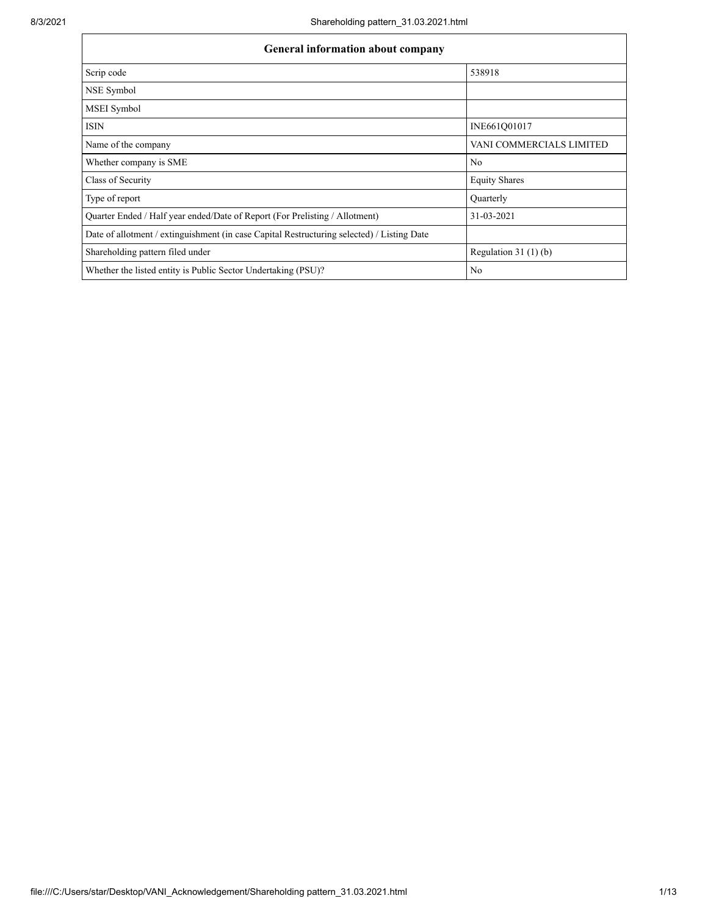| <b>General information about company</b>                                                   |                          |  |  |  |  |  |  |
|--------------------------------------------------------------------------------------------|--------------------------|--|--|--|--|--|--|
| Scrip code                                                                                 | 538918                   |  |  |  |  |  |  |
| NSE Symbol                                                                                 |                          |  |  |  |  |  |  |
| MSEI Symbol                                                                                |                          |  |  |  |  |  |  |
| <b>ISIN</b>                                                                                | INE661Q01017             |  |  |  |  |  |  |
| Name of the company                                                                        | VANI COMMERCIALS LIMITED |  |  |  |  |  |  |
| Whether company is SME                                                                     | N <sub>0</sub>           |  |  |  |  |  |  |
| Class of Security                                                                          | <b>Equity Shares</b>     |  |  |  |  |  |  |
| Type of report                                                                             | Quarterly                |  |  |  |  |  |  |
| Quarter Ended / Half year ended/Date of Report (For Prelisting / Allotment)                | 31-03-2021               |  |  |  |  |  |  |
| Date of allotment / extinguishment (in case Capital Restructuring selected) / Listing Date |                          |  |  |  |  |  |  |
| Shareholding pattern filed under                                                           | Regulation 31 $(1)(b)$   |  |  |  |  |  |  |
| Whether the listed entity is Public Sector Undertaking (PSU)?                              | N <sub>0</sub>           |  |  |  |  |  |  |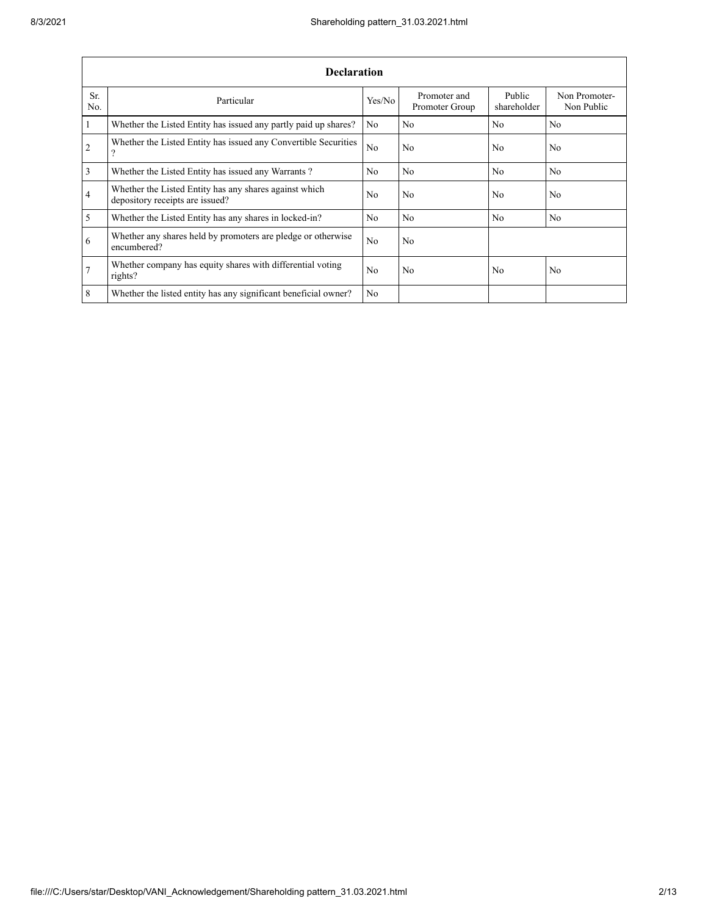|                 | <b>Declaration</b>                                                                        |                |                                |                       |                             |  |  |  |  |  |  |
|-----------------|-------------------------------------------------------------------------------------------|----------------|--------------------------------|-----------------------|-----------------------------|--|--|--|--|--|--|
| Sr.<br>No.      | Particular                                                                                | Yes/No         | Promoter and<br>Promoter Group | Public<br>shareholder | Non Promoter-<br>Non Public |  |  |  |  |  |  |
| $\overline{1}$  | Whether the Listed Entity has issued any partly paid up shares?                           | No.            | N <sub>0</sub>                 | N <sub>0</sub>        | N <sub>0</sub>              |  |  |  |  |  |  |
| $\overline{2}$  | Whether the Listed Entity has issued any Convertible Securities<br>$\mathcal{P}$          | N <sub>0</sub> | N <sub>0</sub>                 | No.                   | N <sub>0</sub>              |  |  |  |  |  |  |
| $\overline{3}$  | Whether the Listed Entity has issued any Warrants?                                        | No             | N <sub>0</sub>                 | N <sub>0</sub>        | N <sub>0</sub>              |  |  |  |  |  |  |
| $\overline{4}$  | Whether the Listed Entity has any shares against which<br>depository receipts are issued? | No.            | N <sub>0</sub>                 | No.                   | N <sub>0</sub>              |  |  |  |  |  |  |
| $\overline{5}$  | Whether the Listed Entity has any shares in locked-in?                                    | No.            | N <sub>0</sub>                 | N <sub>0</sub>        | N <sub>0</sub>              |  |  |  |  |  |  |
| 6               | Whether any shares held by promoters are pledge or otherwise<br>encumbered?               | No.            | N <sub>0</sub>                 |                       |                             |  |  |  |  |  |  |
| $7\overline{ }$ | Whether company has equity shares with differential voting<br>rights?                     | No             | N <sub>0</sub>                 | No                    | N <sub>0</sub>              |  |  |  |  |  |  |
| 8               | Whether the listed entity has any significant beneficial owner?                           | No.            |                                |                       |                             |  |  |  |  |  |  |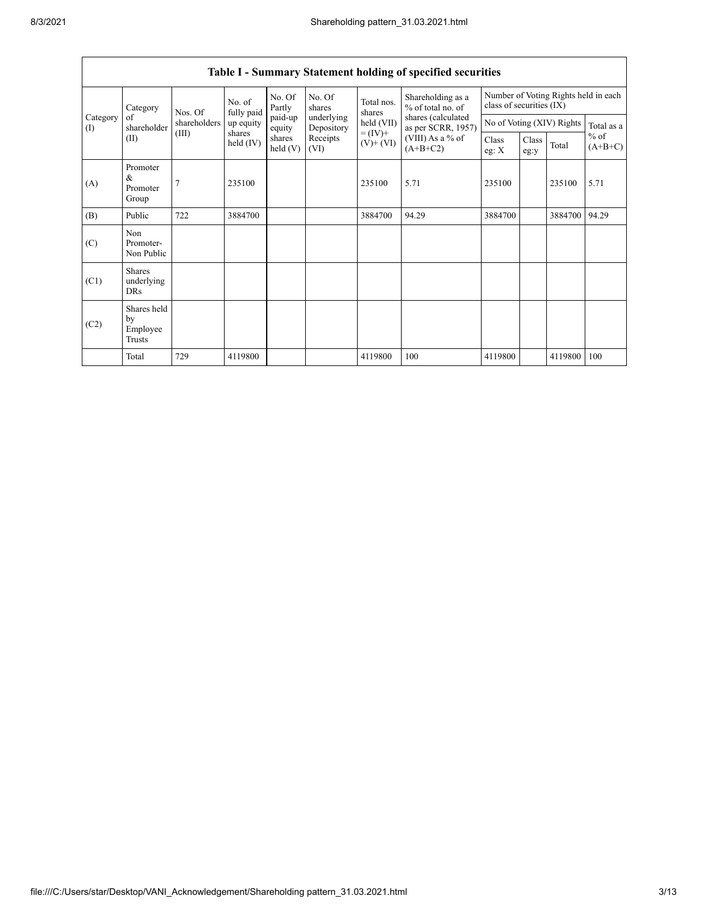|                 | Category                                                                                                      | Nos. Of                        | No. of<br>fully paid | No. Of<br>Partly  | No. Of<br>shares<br>underlying<br>Depository | Total nos.<br>shares<br>held (VII) | Shareholding as a<br>% of total no. of   | class of securities (IX)  |  |         | Number of Voting Rights held in each |
|-----------------|---------------------------------------------------------------------------------------------------------------|--------------------------------|----------------------|-------------------|----------------------------------------------|------------------------------------|------------------------------------------|---------------------------|--|---------|--------------------------------------|
| Category<br>(I) | of<br>shareholder                                                                                             | shareholders                   | up equity            | paid-up<br>equity |                                              |                                    | shares (calculated<br>as per SCRR, 1957) | No of Voting (XIV) Rights |  |         | Total as a                           |
|                 | $= (IV) +$<br>(III)<br>shares<br>Receipts<br>shares<br>(II)<br>held (IV)<br>$(V)$ + $(VI)$<br>held(V)<br>(VI) | (VIII) As a % of<br>$(A+B+C2)$ | Class<br>eg: $X$     | Class<br>eg:y     | Total                                        | $%$ of<br>$(A+B+C)$                |                                          |                           |  |         |                                      |
| (A)             | Promoter<br>&<br>Promoter<br>Group                                                                            | 7                              | 235100               |                   |                                              | 235100                             | 5.71                                     | 235100                    |  | 235100  | 5.71                                 |
| (B)             | Public                                                                                                        | 722                            | 3884700              |                   |                                              | 3884700                            | 94.29                                    | 3884700                   |  | 3884700 | 94.29                                |
| (C)             | Non<br>Promoter-<br>Non Public                                                                                |                                |                      |                   |                                              |                                    |                                          |                           |  |         |                                      |
| (C1)            | <b>Shares</b><br>underlying<br><b>DRs</b>                                                                     |                                |                      |                   |                                              |                                    |                                          |                           |  |         |                                      |
| (C2)            | Shares held<br>by<br>Employee<br>Trusts                                                                       |                                |                      |                   |                                              |                                    |                                          |                           |  |         |                                      |
|                 | Total                                                                                                         | 729                            | 4119800              |                   |                                              | 4119800                            | 100                                      | 4119800                   |  | 4119800 | 100                                  |

## **Table I - Summary Statement holding of specified securities**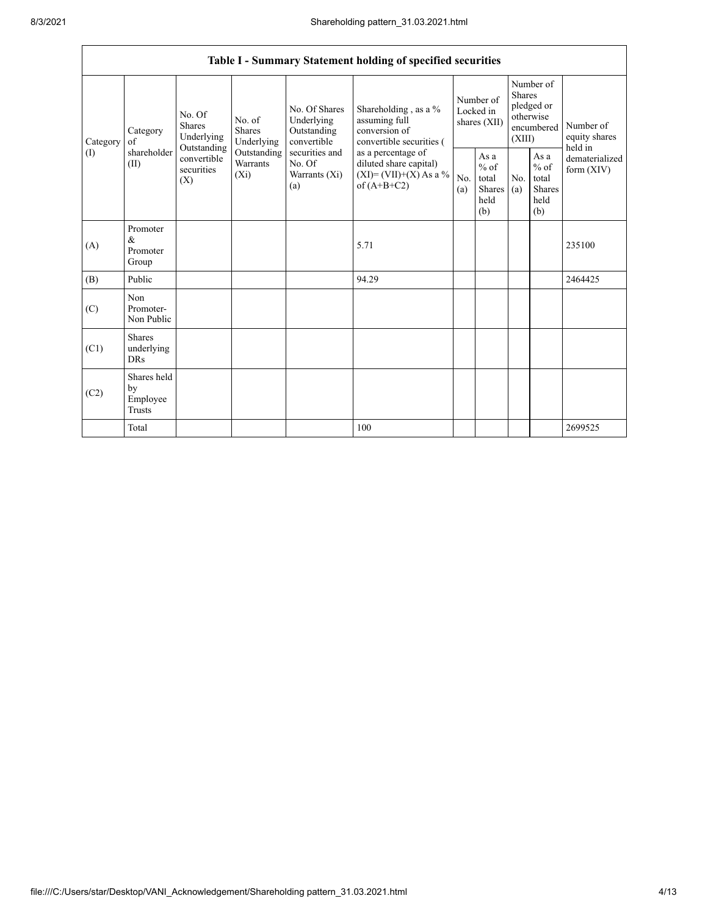| Table I - Summary Statement holding of specified securities |                                           |                                                 |                                                                                                                                                                                                                                                                       |                                                   |                                                  |                                                  |            |                                                                               |                                           |                            |
|-------------------------------------------------------------|-------------------------------------------|-------------------------------------------------|-----------------------------------------------------------------------------------------------------------------------------------------------------------------------------------------------------------------------------------------------------------------------|---------------------------------------------------|--------------------------------------------------|--------------------------------------------------|------------|-------------------------------------------------------------------------------|-------------------------------------------|----------------------------|
| Category                                                    | Category<br>of                            | No. Of<br><b>Shares</b><br>Underlying           | No. Of Shares<br>Underlying<br>assuming full<br>No. of<br><b>Shares</b><br>conversion of<br>Outstanding<br>Underlying<br>convertible<br>securities and<br>Outstanding<br>as a percentage of<br>Warrants<br>No. Of<br>$(X_i)$<br>Warrants (Xi)<br>of $(A+B+C2)$<br>(a) |                                                   | Shareholding, as a %<br>convertible securities ( | Number of<br>Locked in<br>shares (XII)           |            | Number of<br><b>Shares</b><br>pledged or<br>otherwise<br>encumbered<br>(XIII) |                                           | Number of<br>equity shares |
| (1)                                                         | shareholder<br>(II)                       | Outstanding<br>convertible<br>securities<br>(X) |                                                                                                                                                                                                                                                                       | diluted share capital)<br>$(XI)=(VII)+(X) As a %$ | No.<br>(a)                                       | As a<br>$%$ of<br>total<br>Shares<br>held<br>(b) | No.<br>(a) | As a<br>$%$ of<br>total<br><b>Shares</b><br>held<br>(b)                       | held in<br>dematerialized<br>form $(XIV)$ |                            |
| (A)                                                         | Promoter<br>&<br>Promoter<br>Group        |                                                 |                                                                                                                                                                                                                                                                       |                                                   | 5.71                                             |                                                  |            |                                                                               |                                           | 235100                     |
| (B)                                                         | Public                                    |                                                 |                                                                                                                                                                                                                                                                       |                                                   | 94.29                                            |                                                  |            |                                                                               |                                           | 2464425                    |
| (C)                                                         | Non<br>Promoter-<br>Non Public            |                                                 |                                                                                                                                                                                                                                                                       |                                                   |                                                  |                                                  |            |                                                                               |                                           |                            |
| (C1)                                                        | <b>Shares</b><br>underlying<br><b>DRs</b> |                                                 |                                                                                                                                                                                                                                                                       |                                                   |                                                  |                                                  |            |                                                                               |                                           |                            |
| (C2)                                                        | Shares held<br>by<br>Employee<br>Trusts   |                                                 |                                                                                                                                                                                                                                                                       |                                                   |                                                  |                                                  |            |                                                                               |                                           |                            |
|                                                             | Total                                     |                                                 |                                                                                                                                                                                                                                                                       |                                                   | 100                                              |                                                  |            |                                                                               |                                           | 2699525                    |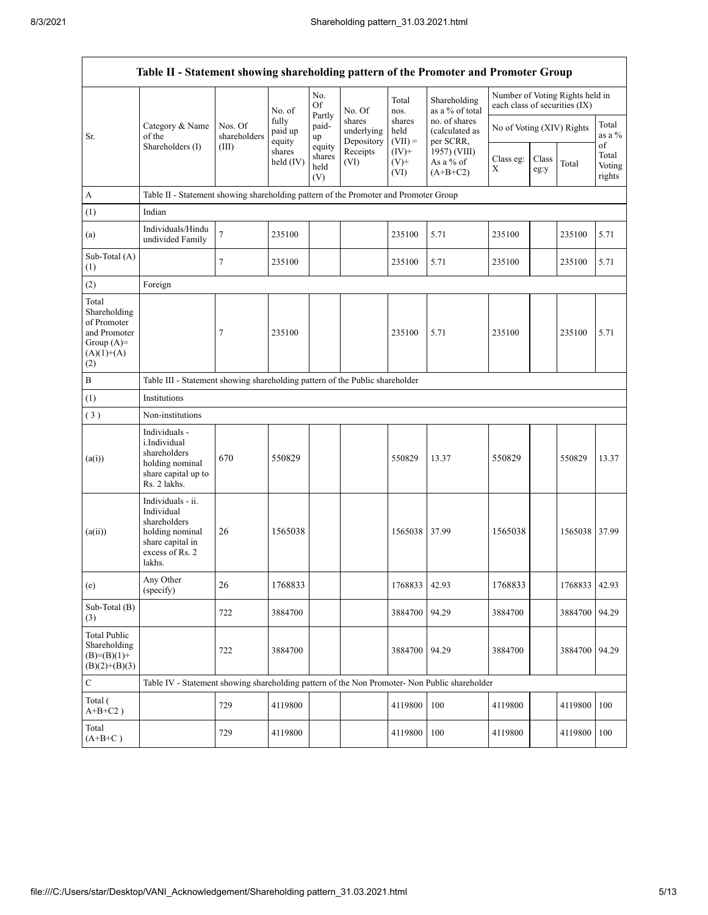|                                                                                             | Table II - Statement showing shareholding pattern of the Promoter and Promoter Group                                |                         |                            |                                 |                                    |                             |                                              |                                                                  |               |         |                                 |
|---------------------------------------------------------------------------------------------|---------------------------------------------------------------------------------------------------------------------|-------------------------|----------------------------|---------------------------------|------------------------------------|-----------------------------|----------------------------------------------|------------------------------------------------------------------|---------------|---------|---------------------------------|
|                                                                                             |                                                                                                                     |                         | No. of                     | No.<br><b>Of</b>                | No. Of                             | Total<br>nos.               | Shareholding<br>as a % of total              | Number of Voting Rights held in<br>each class of securities (IX) |               |         |                                 |
| Sr.                                                                                         | Category & Name<br>of the                                                                                           | Nos. Of<br>shareholders | fully<br>paid up<br>equity | Partly<br>paid-<br>up           | shares<br>underlying<br>Depository | shares<br>held<br>$(VII) =$ | no. of shares<br>(calculated as<br>per SCRR, | No of Voting (XIV) Rights                                        |               |         | Total<br>as a $%$               |
|                                                                                             | Shareholders (I)                                                                                                    | (III)                   | shares<br>held (IV)        | equity<br>shares<br>held<br>(V) |                                    | $(IV)+$<br>$(V)$ +<br>(VI)  | 1957) (VIII)<br>As a % of<br>$(A+B+C2)$      | Class eg:<br>Χ                                                   | Class<br>eg:y | Total   | οf<br>Total<br>Voting<br>rights |
| $\boldsymbol{A}$                                                                            | Table II - Statement showing shareholding pattern of the Promoter and Promoter Group                                |                         |                            |                                 |                                    |                             |                                              |                                                                  |               |         |                                 |
| (1)                                                                                         | Indian                                                                                                              |                         |                            |                                 |                                    |                             |                                              |                                                                  |               |         |                                 |
| (a)                                                                                         | Individuals/Hindu<br>undivided Family                                                                               | $\boldsymbol{7}$        | 235100                     |                                 |                                    | 235100                      | 5.71                                         | 235100                                                           |               | 235100  | 5.71                            |
| Sub-Total (A)<br>(1)                                                                        |                                                                                                                     | 7                       | 235100                     |                                 |                                    | 235100                      | 5.71                                         | 235100                                                           |               | 235100  | 5.71                            |
| (2)                                                                                         | Foreign                                                                                                             |                         |                            |                                 |                                    |                             |                                              |                                                                  |               |         |                                 |
| Total<br>Shareholding<br>of Promoter<br>and Promoter<br>Group $(A)=$<br>$(A)(1)+(A)$<br>(2) |                                                                                                                     | 7                       | 235100                     |                                 |                                    | 235100                      | 5.71                                         | 235100                                                           |               | 235100  | 5.71                            |
| $\, {\bf B}$                                                                                | Table III - Statement showing shareholding pattern of the Public shareholder                                        |                         |                            |                                 |                                    |                             |                                              |                                                                  |               |         |                                 |
| (1)                                                                                         | Institutions                                                                                                        |                         |                            |                                 |                                    |                             |                                              |                                                                  |               |         |                                 |
| (3)                                                                                         | Non-institutions                                                                                                    |                         |                            |                                 |                                    |                             |                                              |                                                                  |               |         |                                 |
| (a(i))                                                                                      | Individuals -<br>i.Individual<br>shareholders<br>holding nominal<br>share capital up to<br>Rs. 2 lakhs.             | 670                     | 550829                     |                                 |                                    | 550829                      | 13.37                                        | 550829                                                           |               | 550829  | 13.37                           |
| (a(ii))                                                                                     | Individuals - ii.<br>Individual<br>shareholders<br>holding nominal<br>share capital in<br>excess of Rs. 2<br>lakhs. | 26                      | 1565038                    |                                 |                                    | 1565038                     | 37.99                                        | 1565038                                                          |               | 1565038 | 37.99                           |
| (e)                                                                                         | Any Other<br>(specify)                                                                                              | 26                      | 1768833                    |                                 |                                    | 1768833 42.93               |                                              | 1768833                                                          |               | 1768833 | 42.93                           |
| Sub-Total (B)<br>(3)                                                                        |                                                                                                                     | 722                     | 3884700                    |                                 |                                    | 3884700                     | 94.29                                        | 3884700                                                          |               | 3884700 | 94.29                           |
| <b>Total Public</b><br>Shareholding<br>$(B)= (B)(1) +$<br>$(B)(2)+(B)(3)$                   |                                                                                                                     | 722                     | 3884700                    |                                 |                                    | 3884700                     | 94.29                                        | 3884700                                                          |               | 3884700 | 94.29                           |
| $\mathbf C$                                                                                 | Table IV - Statement showing shareholding pattern of the Non Promoter- Non Public shareholder                       |                         |                            |                                 |                                    |                             |                                              |                                                                  |               |         |                                 |
| Total (<br>$A+B+C2$ )                                                                       |                                                                                                                     | 729                     | 4119800                    |                                 |                                    | 4119800                     | 100                                          | 4119800                                                          |               | 4119800 | 100                             |
| Total<br>$(A+B+C)$                                                                          |                                                                                                                     | 729                     | 4119800                    |                                 |                                    | 4119800                     | 100                                          | 4119800                                                          |               | 4119800 | 100                             |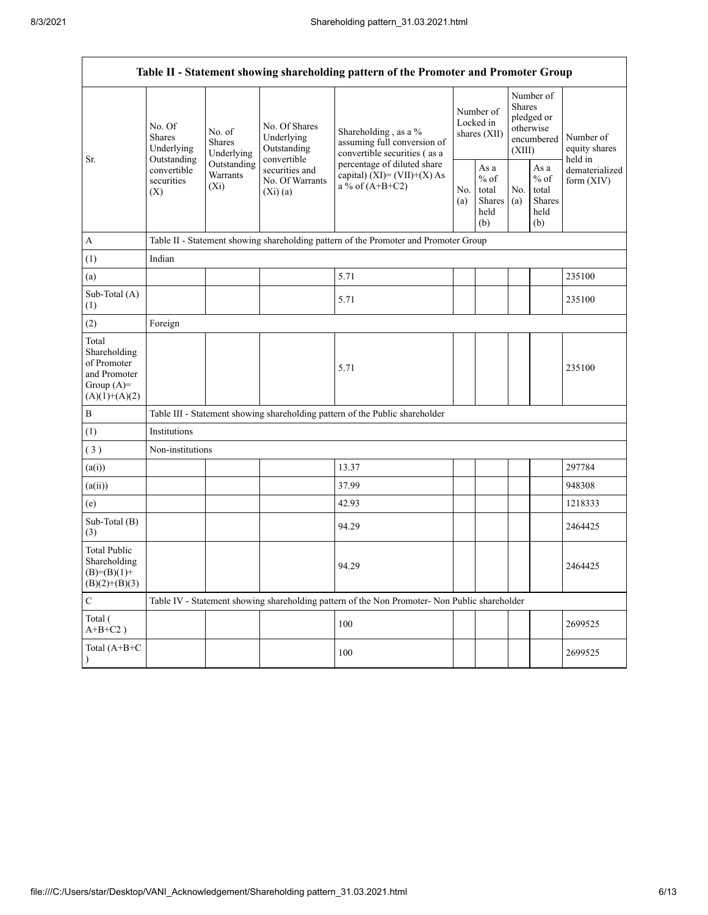$\mathsf{r}$ 

| Table II - Statement showing shareholding pattern of the Promoter and Promoter Group    |                                                                                                                                |                         |                                                             |                                                                                               |            |                                                  |                                                                        |                                                          |                                       |  |
|-----------------------------------------------------------------------------------------|--------------------------------------------------------------------------------------------------------------------------------|-------------------------|-------------------------------------------------------------|-----------------------------------------------------------------------------------------------|------------|--------------------------------------------------|------------------------------------------------------------------------|----------------------------------------------------------|---------------------------------------|--|
| Sr.                                                                                     | No. Of<br>No. of<br><b>Shares</b><br><b>Shares</b><br>Underlying<br>Outstanding<br>convertible<br>securities<br>$(X_i)$<br>(X) | Underlying              | No. Of Shares<br>Underlying<br>Outstanding                  | Shareholding, as a %<br>assuming full conversion of<br>convertible securities (as a           |            | Number of<br>Locked in<br>shares (XII)           | Number of<br>Shares<br>pledged or<br>otherwise<br>encumbered<br>(XIII) |                                                          | Number of<br>equity shares<br>held in |  |
|                                                                                         |                                                                                                                                | Outstanding<br>Warrants | convertible<br>securities and<br>No. Of Warrants<br>(Xi)(a) | percentage of diluted share<br>capital) (XI)= (VII)+(X) As<br>a % of $(A+B+C2)$               | No.<br>(a) | As a<br>$%$ of<br>total<br>Shares<br>held<br>(b) | No.<br>(a)                                                             | As a<br>$\%$ of<br>total<br><b>Shares</b><br>held<br>(b) | dematerialized<br>form $(XIV)$        |  |
| A                                                                                       |                                                                                                                                |                         |                                                             | Table II - Statement showing shareholding pattern of the Promoter and Promoter Group          |            |                                                  |                                                                        |                                                          |                                       |  |
| (1)                                                                                     | Indian                                                                                                                         |                         |                                                             |                                                                                               |            |                                                  |                                                                        |                                                          |                                       |  |
| (a)                                                                                     |                                                                                                                                |                         |                                                             | 5.71                                                                                          |            |                                                  |                                                                        |                                                          | 235100                                |  |
| Sub-Total (A)<br>(1)                                                                    |                                                                                                                                |                         |                                                             | 5.71                                                                                          |            |                                                  |                                                                        |                                                          | 235100                                |  |
| (2)                                                                                     | Foreign                                                                                                                        |                         |                                                             |                                                                                               |            |                                                  |                                                                        |                                                          |                                       |  |
| Total<br>Shareholding<br>of Promoter<br>and Promoter<br>Group $(A)=$<br>$(A)(1)+(A)(2)$ |                                                                                                                                |                         |                                                             | 5.71                                                                                          |            |                                                  |                                                                        |                                                          | 235100                                |  |
| $\, {\bf B}$                                                                            |                                                                                                                                |                         |                                                             | Table III - Statement showing shareholding pattern of the Public shareholder                  |            |                                                  |                                                                        |                                                          |                                       |  |
| (1)                                                                                     | Institutions                                                                                                                   |                         |                                                             |                                                                                               |            |                                                  |                                                                        |                                                          |                                       |  |
| (3)                                                                                     | Non-institutions                                                                                                               |                         |                                                             |                                                                                               |            |                                                  |                                                                        |                                                          |                                       |  |
| (a(i))                                                                                  |                                                                                                                                |                         |                                                             | 13.37                                                                                         |            |                                                  |                                                                        |                                                          | 297784                                |  |
| (a(ii))                                                                                 |                                                                                                                                |                         |                                                             | 37.99                                                                                         |            |                                                  |                                                                        |                                                          | 948308                                |  |
| (e)                                                                                     |                                                                                                                                |                         |                                                             | 42.93                                                                                         |            |                                                  |                                                                        |                                                          | 1218333                               |  |
| Sub-Total (B)<br>(3)                                                                    |                                                                                                                                |                         |                                                             | 94.29                                                                                         |            |                                                  |                                                                        |                                                          | 2464425                               |  |
| <b>Total Public</b><br>Shareholding<br>$(B)=(B)(1)+$<br>$(B)(2)+(B)(3)$                 |                                                                                                                                |                         |                                                             | 94.29                                                                                         |            |                                                  |                                                                        |                                                          | 2464425                               |  |
| $\mathbf C$                                                                             |                                                                                                                                |                         |                                                             | Table IV - Statement showing shareholding pattern of the Non Promoter- Non Public shareholder |            |                                                  |                                                                        |                                                          |                                       |  |
| Total (<br>$A+B+C2$ )                                                                   |                                                                                                                                |                         |                                                             | 100                                                                                           |            |                                                  |                                                                        |                                                          | 2699525                               |  |
| Total (A+B+C                                                                            |                                                                                                                                |                         |                                                             | 100                                                                                           |            |                                                  |                                                                        |                                                          | 2699525                               |  |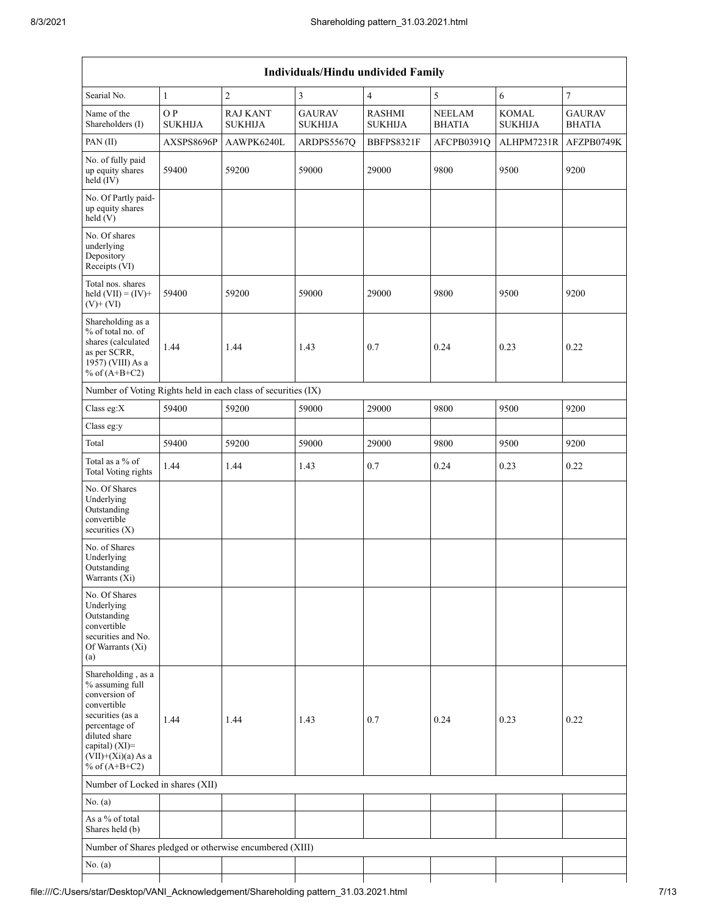| Individuals/Hindu undivided Family                                                                                                                                                       |                       |                                   |                                 |                                 |                                |                                |                                |  |  |  |
|------------------------------------------------------------------------------------------------------------------------------------------------------------------------------------------|-----------------------|-----------------------------------|---------------------------------|---------------------------------|--------------------------------|--------------------------------|--------------------------------|--|--|--|
| Searial No.                                                                                                                                                                              | $\mathbf{1}$          | $\overline{c}$                    | 3                               | $\overline{4}$                  | 5                              | 6                              | $\overline{7}$                 |  |  |  |
| Name of the<br>Shareholders (I)                                                                                                                                                          | O P<br><b>SUKHIJA</b> | <b>RAJ KANT</b><br><b>SUKHIJA</b> | <b>GAURAV</b><br><b>SUKHIJA</b> | <b>RASHMI</b><br><b>SUKHIJA</b> | <b>NEELAM</b><br><b>BHATIA</b> | <b>KOMAL</b><br><b>SUKHIJA</b> | <b>GAURAV</b><br><b>BHATIA</b> |  |  |  |
| PAN(II)                                                                                                                                                                                  | AXSPS8696P            | AAWPK6240L                        | ARDPS5567Q                      | BBFPS8321F                      | AFCPB0391Q                     | ALHPM7231R                     | AFZPB0749K                     |  |  |  |
| No. of fully paid<br>up equity shares<br>held (IV)                                                                                                                                       | 59400                 | 59200                             | 59000                           | 29000                           | 9800                           | 9500                           | 9200                           |  |  |  |
| No. Of Partly paid-<br>up equity shares<br>held(V)                                                                                                                                       |                       |                                   |                                 |                                 |                                |                                |                                |  |  |  |
| No. Of shares<br>underlying<br>Depository<br>Receipts (VI)                                                                                                                               |                       |                                   |                                 |                                 |                                |                                |                                |  |  |  |
| Total nos. shares<br>held $(VII) = (IV) +$<br>$(V)$ + $(VI)$                                                                                                                             | 59400                 | 59200                             | 59000                           | 29000                           | 9800                           | 9500                           | 9200                           |  |  |  |
| Shareholding as a<br>% of total no. of<br>shares (calculated<br>as per SCRR,<br>1957) (VIII) As a<br>% of $(A+B+C2)$                                                                     | 1.44                  | 1.44                              | 1.43                            | 0.7                             | 0.24                           | 0.23                           | 0.22                           |  |  |  |
| Number of Voting Rights held in each class of securities (IX)                                                                                                                            |                       |                                   |                                 |                                 |                                |                                |                                |  |  |  |
| Class eg:X                                                                                                                                                                               | 59400                 | 59200                             | 59000                           | 29000                           | 9800                           | 9500                           | 9200                           |  |  |  |
| Class eg:y                                                                                                                                                                               |                       |                                   |                                 |                                 |                                |                                |                                |  |  |  |
| Total                                                                                                                                                                                    | 59400                 | 59200                             | 59000                           | 29000                           | 9800                           | 9500                           | 9200                           |  |  |  |
| Total as a % of<br>Total Voting rights                                                                                                                                                   | 1.44                  | 1.44                              | 1.43                            | 0.7                             | 0.24                           | 0.23                           | 0.22                           |  |  |  |
| No. Of Shares<br>Underlying<br>Outstanding<br>convertible<br>securities $(X)$                                                                                                            |                       |                                   |                                 |                                 |                                |                                |                                |  |  |  |
| No. of Shares<br>Underlying<br>Outstanding<br>Warrants (Xi)                                                                                                                              |                       |                                   |                                 |                                 |                                |                                |                                |  |  |  |
| No. Of Shares<br>Underlying<br>Outstanding<br>convertible<br>securities and No.<br>Of Warrants (Xi)<br>(a)                                                                               |                       |                                   |                                 |                                 |                                |                                |                                |  |  |  |
| Shareholding, as a<br>% assuming full<br>conversion of<br>convertible<br>securities (as a<br>percentage of<br>diluted share<br>capital) (XI)=<br>$(VII)+(Xi)(a)$ As a<br>% of $(A+B+C2)$ | 1.44                  | 1.44                              | 1.43                            | 0.7                             | 0.24                           | 0.23                           | 0.22                           |  |  |  |
| Number of Locked in shares (XII)                                                                                                                                                         |                       |                                   |                                 |                                 |                                |                                |                                |  |  |  |
| No. (a)                                                                                                                                                                                  |                       |                                   |                                 |                                 |                                |                                |                                |  |  |  |
| As a % of total<br>Shares held (b)                                                                                                                                                       |                       |                                   |                                 |                                 |                                |                                |                                |  |  |  |
| Number of Shares pledged or otherwise encumbered (XIII)                                                                                                                                  |                       |                                   |                                 |                                 |                                |                                |                                |  |  |  |
| No. $(a)$                                                                                                                                                                                |                       |                                   |                                 |                                 |                                |                                |                                |  |  |  |
|                                                                                                                                                                                          |                       |                                   |                                 |                                 |                                |                                |                                |  |  |  |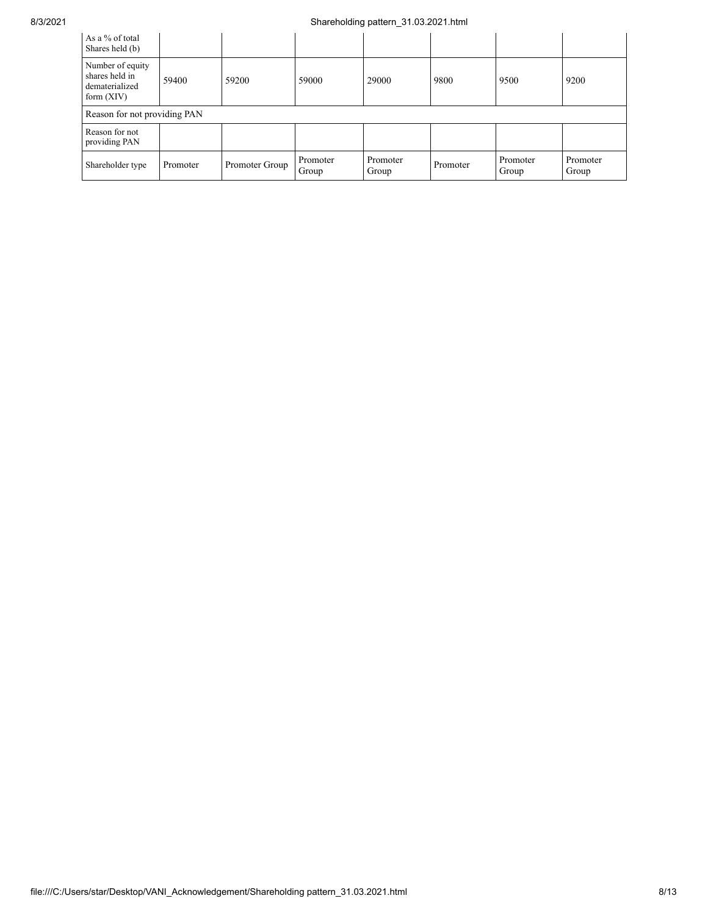## 8/3/2021 Shareholding pattern\_31.03.2021.html

| As a % of total<br>Shares held (b)                                   |          |                |                   |                   |          |                   |                   |  |  |
|----------------------------------------------------------------------|----------|----------------|-------------------|-------------------|----------|-------------------|-------------------|--|--|
| Number of equity<br>shares held in<br>dematerialized<br>form $(XIV)$ | 59400    | 59200          | 59000             | 29000             | 9800     | 9500              | 9200              |  |  |
| Reason for not providing PAN                                         |          |                |                   |                   |          |                   |                   |  |  |
| Reason for not<br>providing PAN                                      |          |                |                   |                   |          |                   |                   |  |  |
| Shareholder type                                                     | Promoter | Promoter Group | Promoter<br>Group | Promoter<br>Group | Promoter | Promoter<br>Group | Promoter<br>Group |  |  |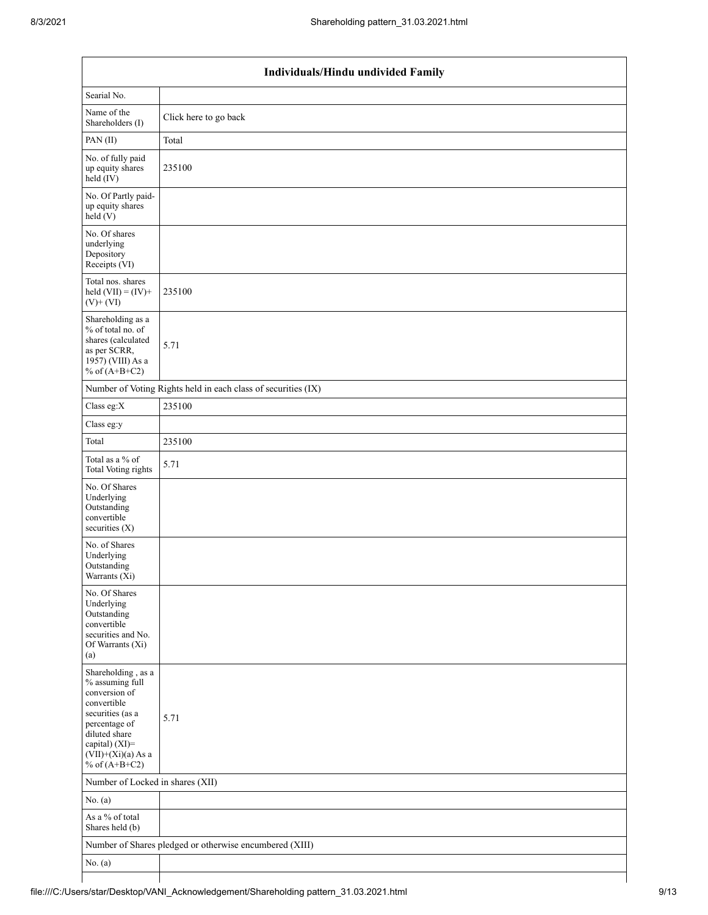| Individuals/Hindu undivided Family                                                                                                                                                       |                                                               |  |  |  |  |  |  |  |
|------------------------------------------------------------------------------------------------------------------------------------------------------------------------------------------|---------------------------------------------------------------|--|--|--|--|--|--|--|
| Searial No.                                                                                                                                                                              |                                                               |  |  |  |  |  |  |  |
| Name of the<br>Shareholders (I)                                                                                                                                                          | Click here to go back                                         |  |  |  |  |  |  |  |
| PAN(II)                                                                                                                                                                                  | Total                                                         |  |  |  |  |  |  |  |
| No. of fully paid<br>up equity shares<br>$\text{held}(\text{IV})$                                                                                                                        | 235100                                                        |  |  |  |  |  |  |  |
| No. Of Partly paid-<br>up equity shares<br>$\text{held}(V)$                                                                                                                              |                                                               |  |  |  |  |  |  |  |
| No. Of shares<br>underlying<br>Depository<br>Receipts (VI)                                                                                                                               |                                                               |  |  |  |  |  |  |  |
| Total nos. shares<br>held $(VII) = (IV) +$<br>$(V)$ + $(VI)$                                                                                                                             | 235100                                                        |  |  |  |  |  |  |  |
| Shareholding as a<br>% of total no. of<br>shares (calculated<br>as per SCRR,<br>1957) (VIII) As a<br>% of $(A+B+C2)$                                                                     | 5.71                                                          |  |  |  |  |  |  |  |
|                                                                                                                                                                                          | Number of Voting Rights held in each class of securities (IX) |  |  |  |  |  |  |  |
| Class eg: $X$                                                                                                                                                                            | 235100                                                        |  |  |  |  |  |  |  |
| Class eg:y                                                                                                                                                                               |                                                               |  |  |  |  |  |  |  |
| Total                                                                                                                                                                                    | 235100                                                        |  |  |  |  |  |  |  |
| Total as a $\%$ of<br>Total Voting rights                                                                                                                                                | 5.71                                                          |  |  |  |  |  |  |  |
| No. Of Shares<br>Underlying<br>Outstanding<br>convertible<br>securities (X)                                                                                                              |                                                               |  |  |  |  |  |  |  |
| No. of Shares<br>Underlying<br>Outstanding<br>Warrants (Xi)                                                                                                                              |                                                               |  |  |  |  |  |  |  |
| No. Of Shares<br>Underlying<br>Outstanding<br>convertible<br>securities and No.<br>Of Warrants (Xi)<br>(a)                                                                               |                                                               |  |  |  |  |  |  |  |
| Shareholding, as a<br>% assuming full<br>conversion of<br>convertible<br>securities (as a<br>percentage of<br>diluted share<br>capital) (XI)=<br>$(VII)+(Xi)(a)$ As a<br>% of $(A+B+C2)$ | 5.71                                                          |  |  |  |  |  |  |  |
| Number of Locked in shares (XII)                                                                                                                                                         |                                                               |  |  |  |  |  |  |  |
| No. (a)                                                                                                                                                                                  |                                                               |  |  |  |  |  |  |  |
| As a % of total<br>Shares held (b)                                                                                                                                                       |                                                               |  |  |  |  |  |  |  |
|                                                                                                                                                                                          | Number of Shares pledged or otherwise encumbered (XIII)       |  |  |  |  |  |  |  |
| No. $(a)$                                                                                                                                                                                |                                                               |  |  |  |  |  |  |  |
|                                                                                                                                                                                          |                                                               |  |  |  |  |  |  |  |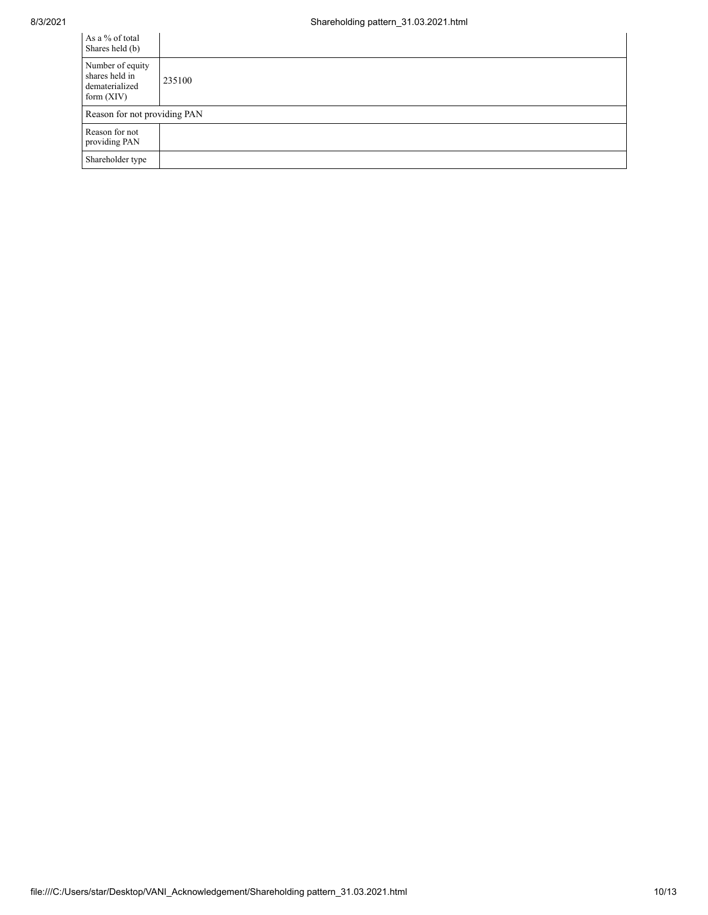| As a % of total<br>Shares held (b)                                   |        |
|----------------------------------------------------------------------|--------|
| Number of equity<br>shares held in<br>dematerialized<br>form $(XIV)$ | 235100 |
| Reason for not providing PAN                                         |        |
| Reason for not<br>providing PAN                                      |        |
| Shareholder type                                                     |        |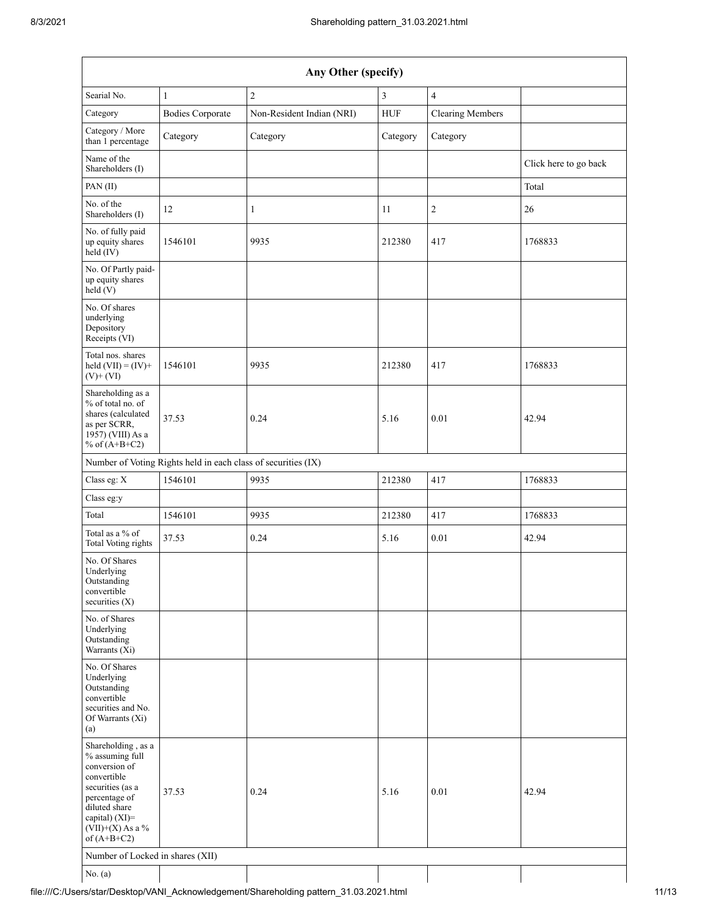| Any Other (specify)                                                                                                                                                                  |                         |                           |             |                         |                       |  |  |  |  |
|--------------------------------------------------------------------------------------------------------------------------------------------------------------------------------------|-------------------------|---------------------------|-------------|-------------------------|-----------------------|--|--|--|--|
| Searial No.                                                                                                                                                                          | $\mathbf{1}$            | $\overline{c}$            | 3           | $\overline{4}$          |                       |  |  |  |  |
| Category                                                                                                                                                                             | <b>Bodies Corporate</b> | Non-Resident Indian (NRI) | ${\rm HUF}$ | <b>Clearing Members</b> |                       |  |  |  |  |
| Category / More<br>than 1 percentage                                                                                                                                                 | Category                | Category                  | Category    | Category                |                       |  |  |  |  |
| Name of the<br>Shareholders (I)                                                                                                                                                      |                         |                           |             |                         | Click here to go back |  |  |  |  |
| PAN(II)                                                                                                                                                                              |                         |                           |             |                         | Total                 |  |  |  |  |
| No. of the<br>Shareholders (I)                                                                                                                                                       | 12                      | $\mathbf{1}$              | 11          | $\sqrt{2}$              | 26                    |  |  |  |  |
| No. of fully paid<br>up equity shares<br>$\text{held}(\text{IV})$                                                                                                                    | 1546101                 | 9935                      | 212380      | 417                     | 1768833               |  |  |  |  |
| No. Of Partly paid-<br>up equity shares<br>held(V)                                                                                                                                   |                         |                           |             |                         |                       |  |  |  |  |
| No. Of shares<br>underlying<br>Depository<br>Receipts (VI)                                                                                                                           |                         |                           |             |                         |                       |  |  |  |  |
| Total nos. shares<br>held $(VII) = (IV) +$<br>$(V)$ + $(VI)$                                                                                                                         | 1546101                 | 9935                      | 212380      | 417                     | 1768833               |  |  |  |  |
| Shareholding as a<br>% of total no. of<br>shares (calculated<br>as per SCRR,<br>1957) (VIII) As a<br>% of $(A+B+C2)$                                                                 | 37.53                   | 0.24                      | 5.16        | 0.01                    | 42.94                 |  |  |  |  |
| Number of Voting Rights held in each class of securities (IX)                                                                                                                        |                         |                           |             |                         |                       |  |  |  |  |
| Class eg: X                                                                                                                                                                          | 1546101                 | 9935                      | 212380      | 417                     | 1768833               |  |  |  |  |
| Class eg:y                                                                                                                                                                           |                         |                           |             |                         |                       |  |  |  |  |
| Total                                                                                                                                                                                | 1546101                 | 9935                      | 212380      | 417                     | 1768833               |  |  |  |  |
| Total as a % of<br><b>Total Voting rights</b>                                                                                                                                        | 37.53                   | 0.24                      | 5.16        | 0.01                    | 42.94                 |  |  |  |  |
| No. Of Shares<br>Underlying<br>Outstanding<br>convertible<br>securities $(X)$                                                                                                        |                         |                           |             |                         |                       |  |  |  |  |
| No. of Shares<br>Underlying<br>Outstanding<br>Warrants (Xi)                                                                                                                          |                         |                           |             |                         |                       |  |  |  |  |
| No. Of Shares<br>Underlying<br>Outstanding<br>convertible<br>securities and No.<br>Of Warrants (Xi)<br>(a)                                                                           |                         |                           |             |                         |                       |  |  |  |  |
| Shareholding, as a<br>% assuming full<br>conversion of<br>convertible<br>securities (as a<br>percentage of<br>diluted share<br>capital) (XI)=<br>$(VII)+(X)$ As a %<br>of $(A+B+C2)$ | 37.53                   | 0.24                      | 5.16        | 0.01                    | 42.94                 |  |  |  |  |
| Number of Locked in shares (XII)                                                                                                                                                     |                         |                           |             |                         |                       |  |  |  |  |
| No. (a)                                                                                                                                                                              |                         |                           |             |                         |                       |  |  |  |  |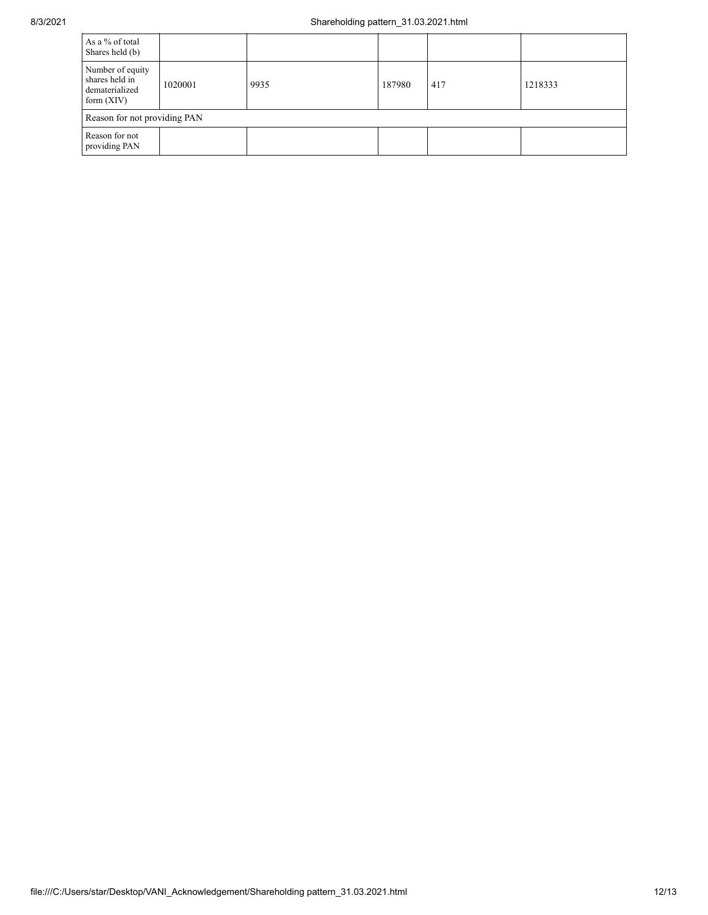| As a % of total<br>Shares held (b)                                   |         |      |        |     |         |  |  |  |
|----------------------------------------------------------------------|---------|------|--------|-----|---------|--|--|--|
| Number of equity<br>shares held in<br>dematerialized<br>form $(XIV)$ | 1020001 | 9935 | 187980 | 417 | 1218333 |  |  |  |
| Reason for not providing PAN                                         |         |      |        |     |         |  |  |  |
| Reason for not<br>providing PAN                                      |         |      |        |     |         |  |  |  |